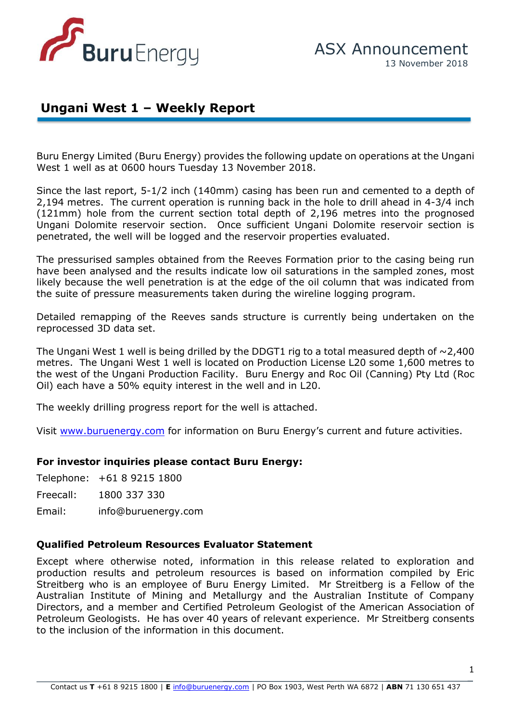

## **Ungani West 1 – Weekly Report**

Buru Energy Limited (Buru Energy) provides the following update on operations at the Ungani West 1 well as at 0600 hours Tuesday 13 November 2018.

th of 2,196 metres i **ASX: BRU** (121mm) hole from the current section total depth of 2,196 metres into the prognosed Since the last report, 5-1/2 inch (140mm) casing has been run and cemented to a depth of 2,194 metres. The current operation is running back in the hole to drill ahead in 4-3/4 inch Ungani Dolomite reservoir section. Once sufficient Ungani Dolomite reservoir section is penetrated, the well will be logged and the reservoir properties evaluated.

The pressurised samples obtained from the Reeves Formation prior to the casing being run have been analysed and the results indicate low oil saturations in the sampled zones, most likely because the well penetration is at the edge of the oil column that was indicated from the suite of pressure measurements taken during the wireline logging program.

Detailed remapping of the Reeves sands structure is currently being undertaken on the reprocessed 3D data set.

The Ungani West 1 well is being drilled by the DDGT1 rig to a total measured depth of  $\sim$ 2,400 metres. The Ungani West 1 well is located on Production License L20 some 1,600 metres to the west of the Ungani Production Facility. Buru Energy and Roc Oil (Canning) Pty Ltd (Roc Oil) each have a 50% equity interest in the well and in L20.

The weekly drilling progress report for the well is attached.

Visit [www.buruenergy.com](http://www.buruenergy.com/) for information on Buru Energy's current and future activities.

## **For investor inquiries please contact Buru Energy:**

Telephone: +61 8 9215 1800

Freecall: 1800 337 330

Email: [info@buruenergy.com](mailto:info@buruenergy.com)

## **Qualified Petroleum Resources Evaluator Statement**

Except where otherwise noted, information in this release related to exploration and production results and petroleum resources is based on information compiled by Eric Streitberg who is an employee of Buru Energy Limited. Mr Streitberg is a Fellow of the Australian Institute of Mining and Metallurgy and the Australian Institute of Company Directors, and a member and Certified Petroleum Geologist of the American Association of Petroleum Geologists. He has over 40 years of relevant experience. Mr Streitberg consents to the inclusion of the information in this document.